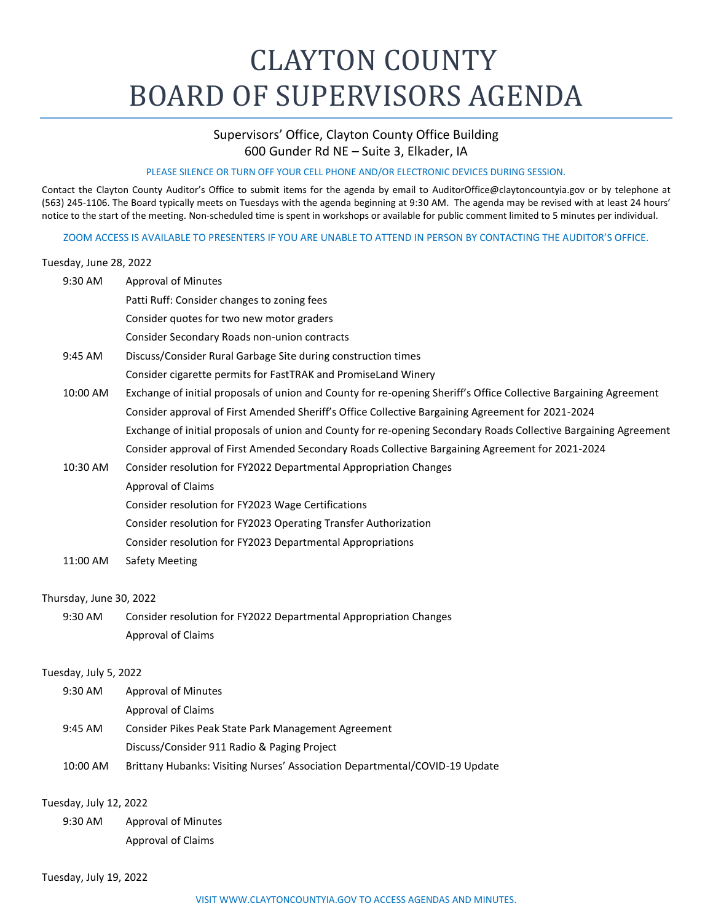## CLAYTON COUNTY BOARD OF SUPERVISORS AGENDA

## Supervisors' Office, Clayton County Office Building 600 Gunder Rd NE – Suite 3, Elkader, IA

## PLEASE SILENCE OR TURN OFF YOUR CELL PHONE AND/OR ELECTRONIC DEVICES DURING SESSION.

Contact the Clayton County Auditor's Office to submit items for the agenda by email to [AuditorOffice@claytoncountyia.gov](mailto:AuditorOffice@claytoncountyia.gov) or by telephone at (563) 245-1106. The Board typically meets on Tuesdays with the agenda beginning at 9:30 AM. The agenda may be revised with at least 24 hours' notice to the start of the meeting. Non-scheduled time is spent in workshops or available for public comment limited to 5 minutes per individual.

ZOOM ACCESS IS AVAILABLE TO PRESENTERS IF YOU ARE UNABLE TO ATTEND IN PERSON BY CONTACTING THE AUDITOR'S OFFICE.

## Tuesday, June 28, 2022

| 9:30 AM                 | <b>Approval of Minutes</b>                                                                                        |
|-------------------------|-------------------------------------------------------------------------------------------------------------------|
|                         | Patti Ruff: Consider changes to zoning fees                                                                       |
|                         | Consider quotes for two new motor graders                                                                         |
|                         | Consider Secondary Roads non-union contracts                                                                      |
| 9:45 AM                 | Discuss/Consider Rural Garbage Site during construction times                                                     |
|                         | Consider cigarette permits for FastTRAK and PromiseLand Winery                                                    |
| 10:00 AM                | Exchange of initial proposals of union and County for re-opening Sheriff's Office Collective Bargaining Agreement |
|                         | Consider approval of First Amended Sheriff's Office Collective Bargaining Agreement for 2021-2024                 |
|                         | Exchange of initial proposals of union and County for re-opening Secondary Roads Collective Bargaining Agreement  |
|                         | Consider approval of First Amended Secondary Roads Collective Bargaining Agreement for 2021-2024                  |
| 10:30 AM                | Consider resolution for FY2022 Departmental Appropriation Changes                                                 |
|                         | <b>Approval of Claims</b>                                                                                         |
|                         | Consider resolution for FY2023 Wage Certifications                                                                |
|                         | Consider resolution for FY2023 Operating Transfer Authorization                                                   |
|                         | Consider resolution for FY2023 Departmental Appropriations                                                        |
| 11:00 AM                | <b>Safety Meeting</b>                                                                                             |
| Thursday, June 30, 2022 |                                                                                                                   |
| 9:30 AM                 | Consider resolution for FY2022 Departmental Appropriation Changes                                                 |
|                         | <b>Approval of Claims</b>                                                                                         |
| Tuesday, July 5, 2022   |                                                                                                                   |
| 9:30 AM                 | <b>Approval of Minutes</b>                                                                                        |
|                         | <b>Approval of Claims</b>                                                                                         |
| 9:45 AM                 | Consider Pikes Peak State Park Management Agreement                                                               |
|                         | Discuss/Consider 911 Radio & Paging Project                                                                       |
| 10:00 AM                | Brittany Hubanks: Visiting Nurses' Association Departmental/COVID-19 Update                                       |
|                         |                                                                                                                   |

Tuesday, July 12, 2022

9:30 AM Approval of Minutes Approval of Claims

Tuesday, July 19, 2022